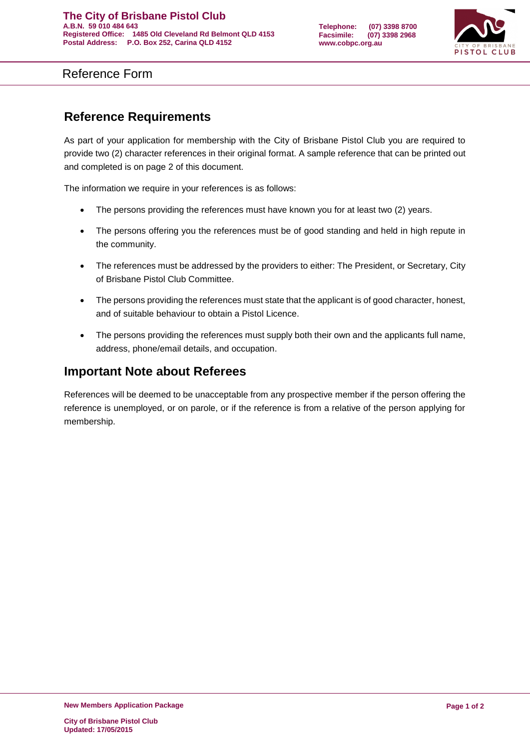

Reference Form

## **Reference Requirements**

As part of your application for membership with the City of Brisbane Pistol Club you are required to provide two (2) character references in their original format. A sample reference that can be printed out and completed is on page 2 of this document.

The information we require in your references is as follows:

- The persons providing the references must have known you for at least two (2) years.
- The persons offering you the references must be of good standing and held in high repute in the community.
- The references must be addressed by the providers to either: The President, or Secretary, City of Brisbane Pistol Club Committee.
- The persons providing the references must state that the applicant is of good character, honest, and of suitable behaviour to obtain a Pistol Licence.
- The persons providing the references must supply both their own and the applicants full name, address, phone/email details, and occupation.

## **Important Note about Referees**

References will be deemed to be unacceptable from any prospective member if the person offering the reference is unemployed, or on parole, or if the reference is from a relative of the person applying for membership.